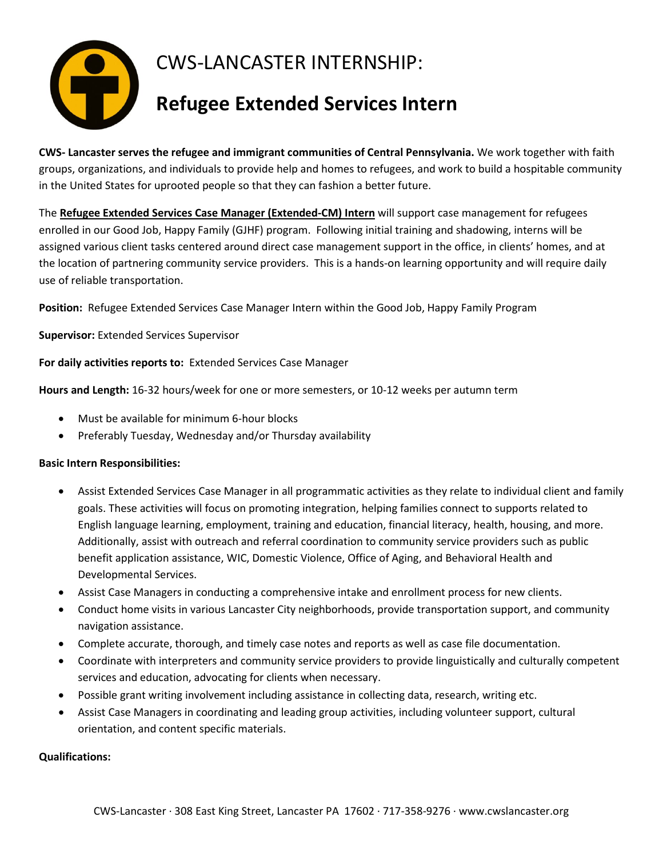

**CWS- Lancaster serves the refugee and immigrant communities of Central Pennsylvania.** We work together with faith groups, organizations, and individuals to provide help and homes to refugees, and work to build a hospitable community in the United States for uprooted people so that they can fashion a better future.

The **Refugee Extended Services Case Manager (Extended-CM) Intern** will support case management for refugees enrolled in our Good Job, Happy Family (GJHF) program. Following initial training and shadowing, interns will be assigned various client tasks centered around direct case management support in the office, in clients' homes, and at the location of partnering community service providers. This is a hands-on learning opportunity and will require daily use of reliable transportation.

**Position:** Refugee Extended Services Case Manager Intern within the Good Job, Happy Family Program

**Supervisor:** Extended Services Supervisor

**For daily activities reports to:** Extended Services Case Manager

**Hours and Length:** 16-32 hours/week for one or more semesters, or 10-12 weeks per autumn term

- Must be available for minimum 6-hour blocks
- Preferably Tuesday, Wednesday and/or Thursday availability

## **Basic Intern Responsibilities:**

- Assist Extended Services Case Manager in all programmatic activities as they relate to individual client and family goals. These activities will focus on promoting integration, helping families connect to supports related to English language learning, employment, training and education, financial literacy, health, housing, and more. Additionally, assist with outreach and referral coordination to community service providers such as public benefit application assistance, WIC, Domestic Violence, Office of Aging, and Behavioral Health and Developmental Services.
- Assist Case Managers in conducting a comprehensive intake and enrollment process for new clients.
- Conduct home visits in various Lancaster City neighborhoods, provide transportation support, and community navigation assistance.
- Complete accurate, thorough, and timely case notes and reports as well as case file documentation.
- Coordinate with interpreters and community service providers to provide linguistically and culturally competent services and education, advocating for clients when necessary.
- Possible grant writing involvement including assistance in collecting data, research, writing etc.
- Assist Case Managers in coordinating and leading group activities, including volunteer support, cultural orientation, and content specific materials.

## **Qualifications:**